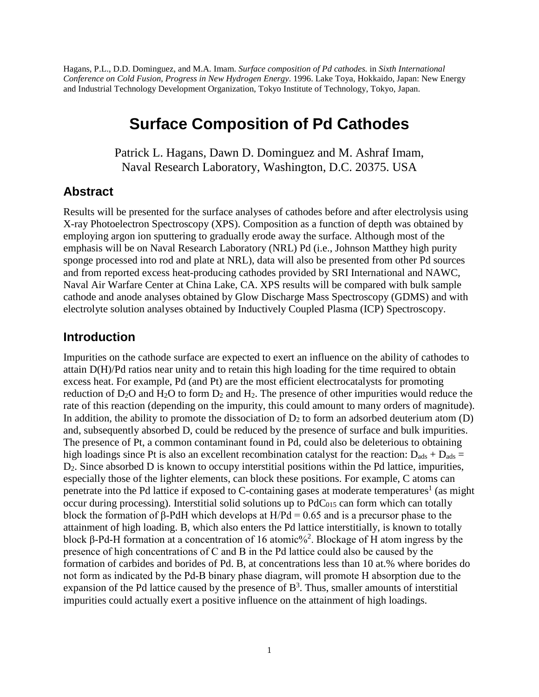Hagans, P.L., D.D. Dominguez, and M.A. Imam. *Surface composition of Pd cathodes.* in *Sixth International Conference on Cold Fusion, Progress in New Hydrogen Energy*. 1996. Lake Toya, Hokkaido, Japan: New Energy and Industrial Technology Development Organization, Tokyo Institute of Technology, Tokyo, Japan.

# **Surface Composition of Pd Cathodes**

Patrick L. Hagans, Dawn D. Dominguez and M. Ashraf Imam, Naval Research Laboratory, Washington, D.C. 20375. USA

#### **Abstract**

Results will be presented for the surface analyses of cathodes before and after electrolysis using X-ray Photoelectron Spectroscopy (XPS). Composition as a function of depth was obtained by employing argon ion sputtering to gradually erode away the surface. Although most of the emphasis will be on Naval Research Laboratory (NRL) Pd (i.e., Johnson Matthey high purity sponge processed into rod and plate at NRL), data will also be presented from other Pd sources and from reported excess heat-producing cathodes provided by SRI International and NAWC, Naval Air Warfare Center at China Lake, CA. XPS results will be compared with bulk sample cathode and anode analyses obtained by Glow Discharge Mass Spectroscopy (GDMS) and with electrolyte solution analyses obtained by Inductively Coupled Plasma (ICP) Spectroscopy.

#### **Introduction**

Impurities on the cathode surface are expected to exert an influence on the ability of cathodes to attain D(H)/Pd ratios near unity and to retain this high loading for the time required to obtain excess heat. For example, Pd (and Pt) are the most efficient electrocatalysts for promoting reduction of  $D_2O$  and  $H_2O$  to form  $D_2$  and  $H_2$ . The presence of other impurities would reduce the rate of this reaction (depending on the impurity, this could amount to many orders of magnitude). In addition, the ability to promote the dissociation of  $D_2$  to form an adsorbed deuterium atom (D) and, subsequently absorbed D, could be reduced by the presence of surface and bulk impurities. The presence of Pt, a common contaminant found in Pd, could also be deleterious to obtaining high loadings since Pt is also an excellent recombination catalyst for the reaction:  $D_{ads} + D_{ads} =$ D2. Since absorbed D is known to occupy interstitial positions within the Pd lattice, impurities, especially those of the lighter elements, can block these positions. For example, C atoms can penetrate into the Pd lattice if exposed to C-containing gases at moderate temperatures<sup>1</sup> (as might occur during processing). Interstitial solid solutions up to  $PdC<sub>015</sub>$  can form which can totally block the formation of β-PdH which develops at  $H/Pd = 0.65$  and is a precursor phase to the attainment of high loading. B, which also enters the Pd lattice interstitially, is known to totally block β-Pd-H formation at a concentration of 16 atomic%<sup>2</sup> . Blockage of Η atom ingress by the presence of high concentrations of C and Β in the Pd lattice could also be caused by the formation of carbides and borides of Pd. B, at concentrations less than 10 at.% where borides do not form as indicated by the Pd-B binary phase diagram, will promote Η absorption due to the expansion of the Pd lattice caused by the presence of  $B<sup>3</sup>$ . Thus, smaller amounts of interstitial impurities could actually exert a positive influence on the attainment of high loadings.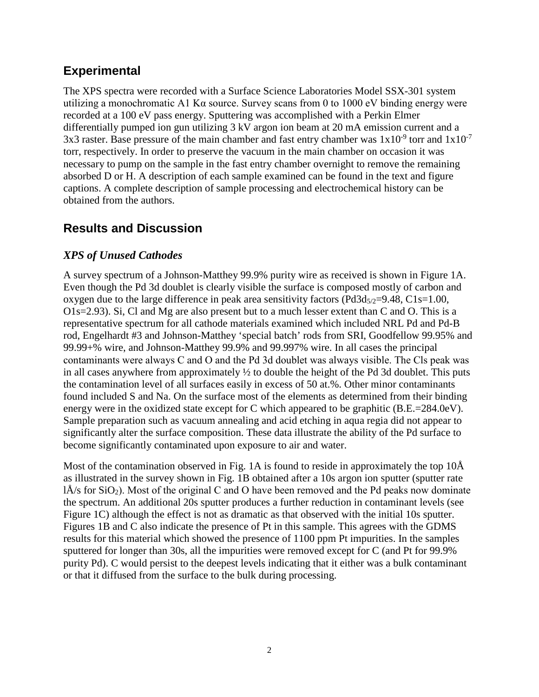### **Experimental**

The XPS spectra were recorded with a Surface Science Laboratories Model SSX-301 system utilizing a monochromatic A1 K $\alpha$  source. Survey scans from 0 to 1000 eV binding energy were recorded at a 100 eV pass energy. Sputtering was accomplished with a Perkin Elmer differentially pumped ion gun utilizing 3 kV argon ion beam at 20 mA emission current and a 3x3 raster. Base pressure of the main chamber and fast entry chamber was  $1x10^{-9}$  torr and  $1x10^{-7}$ torr, respectively. In order to preserve the vacuum in the main chamber on occasion it was necessary to pump on the sample in the fast entry chamber overnight to remove the remaining absorbed D or H. A description of each sample examined can be found in the text and figure captions. A complete description of sample processing and electrochemical history can be obtained from the authors.

# **Results and Discussion**

### *XPS of Unused Cathodes*

A survey spectrum of a Johnson-Matthey 99.9% purity wire as received is shown in Figure 1A. Even though the Pd 3d doublet is clearly visible the surface is composed mostly of carbon and oxygen due to the large difference in peak area sensitivity factors ( $Pd3d_{5/2}=9.48$ ,  $C1s=1.00$ , O1s=2.93). Si, Cl and Mg are also present but to a much lesser extent than C and O. This is a representative spectrum for all cathode materials examined which included NRL Pd and Pd-B rod, Engelhardt #3 and Johnson-Matthey 'special batch' rods from SRI, Goodfellow 99.95% and 99.99+% wire, and Johnson-Matthey 99.9% and 99.997% wire. In all cases the principal contaminants were always C and Ο and the Pd 3d doublet was always visible. The Cls peak was in all cases anywhere from approximately ½ to double the height of the Pd 3d doublet. This puts the contamination level of all surfaces easily in excess of 50 at.%. Other minor contaminants found included S and Na. On the surface most of the elements as determined from their binding energy were in the oxidized state except for C which appeared to be graphitic (B.E.=284.0eV). Sample preparation such as vacuum annealing and acid etching in aqua regia did not appear to significantly alter the surface composition. These data illustrate the ability of the Pd surface to become significantly contaminated upon exposure to air and water.

Most of the contamination observed in Fig. 1A is found to reside in approximately the top 10Å as illustrated in the survey shown in Fig. 1B obtained after a 10s argon ion sputter (sputter rate  $\hat{A}/s$  for SiO<sub>2</sub>). Most of the original C and O have been removed and the Pd peaks now dominate the spectrum. An additional 20s sputter produces a further reduction in contaminant levels (see Figure 1C) although the effect is not as dramatic as that observed with the initial 10s sputter. Figures 1B and C also indicate the presence of Pt in this sample. This agrees with the GDMS results for this material which showed the presence of 1100 ppm Pt impurities. In the samples sputtered for longer than 30s, all the impurities were removed except for C (and Pt for 99.9% purity Pd). C would persist to the deepest levels indicating that it either was a bulk contaminant or that it diffused from the surface to the bulk during processing.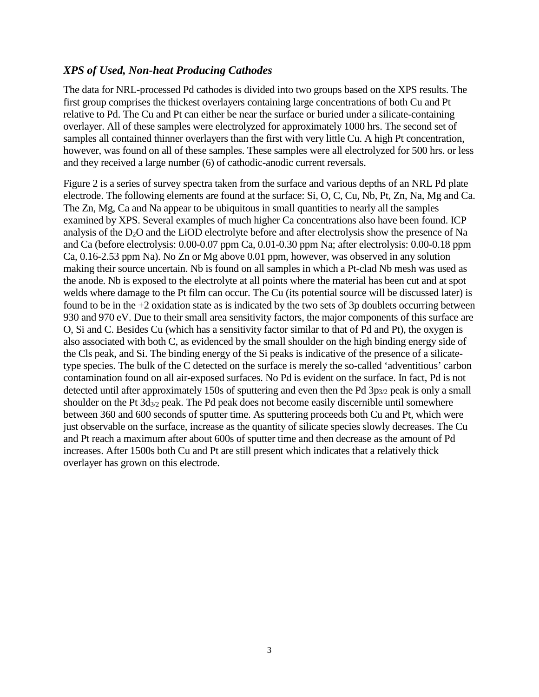#### *XPS of Used, Non-heat Producing Cathodes*

The data for NRL-processed Pd cathodes is divided into two groups based on the XPS results. The first group comprises the thickest overlayers containing large concentrations of both Cu and Pt relative to Pd. The Cu and Pt can either be near the surface or buried under a silicate-containing overlayer. All of these samples were electrolyzed for approximately 1000 hrs. The second set of samples all contained thinner overlayers than the first with very little Cu. A high Pt concentration, however, was found on all of these samples. These samples were all electrolyzed for 500 hrs. or less and they received a large number (6) of cathodic-anodic current reversals.

Figure 2 is a series of survey spectra taken from the surface and various depths of an NRL Pd plate electrode. The following elements are found at the surface: Si, O, C, Cu, Nb, Pt, Zn, Na, Mg and Ca. The Zn, Mg, Ca and Na appear to be ubiquitous in small quantities to nearly all the samples examined by XPS. Several examples of much higher Ca concentrations also have been found. ICP analysis of the D<sub>2</sub>O and the LiOD electrolyte before and after electrolysis show the presence of Na and Ca (before electrolysis: 0.00-0.07 ppm Ca, 0.01-0.30 ppm Na; after electrolysis: 0.00-0.18 ppm Ca, 0.16-2.53 ppm Na). No Zn or Mg above 0.01 ppm, however, was observed in any solution making their source uncertain. Nb is found on all samples in which a Pt-clad Nb mesh was used as the anode. Nb is exposed to the electrolyte at all points where the material has been cut and at spot welds where damage to the Pt film can occur. The Cu (its potential source will be discussed later) is found to be in the +2 oxidation state as is indicated by the two sets of 3p doublets occurring between 930 and 970 eV. Due to their small area sensitivity factors, the major components of this surface are O, Si and C. Besides Cu (which has a sensitivity factor similar to that of Pd and Pt), the oxygen is also associated with both C, as evidenced by the small shoulder on the high binding energy side of the Cls peak, and Si. The binding energy of the Si peaks is indicative of the presence of a silicatetype species. The bulk of the C detected on the surface is merely the so-called 'adventitious' carbon contamination found on all air-exposed surfaces. No Pd is evident on the surface. In fact, Pd is not detected until after approximately 150s of sputtering and even then the Pd 3p<sub>3/2</sub> peak is only a small shoulder on the Pt  $3d_{3/2}$  peak. The Pd peak does not become easily discernible until somewhere between 360 and 600 seconds of sputter time. As sputtering proceeds both Cu and Pt, which were just observable on the surface, increase as the quantity of silicate species slowly decreases. The Cu and Pt reach a maximum after about 600s of sputter time and then decrease as the amount of Pd increases. After 1500s both Cu and Pt are still present which indicates that a relatively thick overlayer has grown on this electrode.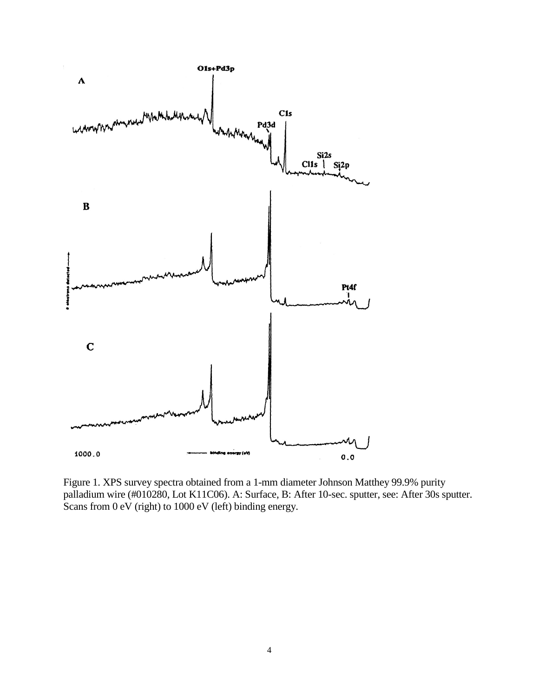

Figure 1. XPS survey spectra obtained from a 1-mm diameter Johnson Matthey 99.9% purity palladium wire (#010280, Lot K11C06). A: Surface, B: After 10-sec. sputter, see: After 30s sputter. Scans from 0 eV (right) to 1000 eV (left) binding energy.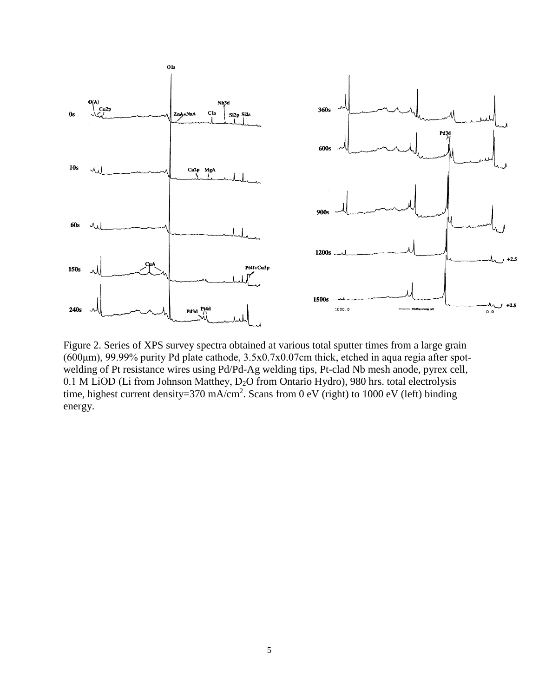

Figure 2. Series of XPS survey spectra obtained at various total sputter times from a large grain (600μm), 99.99% purity Pd plate cathode, 3.5x0.7x0.07cm thick, etched in aqua regia after spotwelding of Pt resistance wires using Pd/Pd-Ag welding tips, Pt-clad Nb mesh anode, pyrex cell, 0.1 M LiOD (Li from Johnson Matthey, D<sub>2</sub>O from Ontario Hydro), 980 hrs. total electrolysis time, highest current density=370 mA/cm<sup>2</sup>. Scans from 0 eV (right) to 1000 eV (left) binding energy.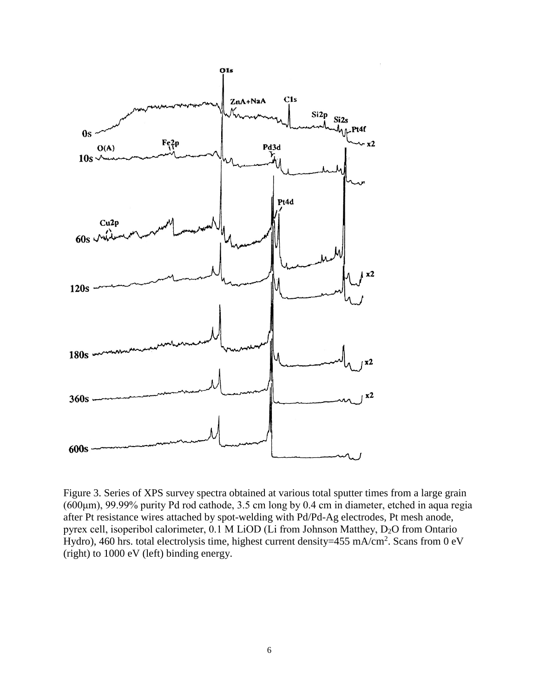

Figure 3. Series of XPS survey spectra obtained at various total sputter times from a large grain (600μm), 99.99% purity Pd rod cathode, 3.5 cm long by 0.4 cm in diameter, etched in aqua regia after Pt resistance wires attached by spot-welding with Pd/Pd-Ag electrodes, Pt mesh anode, pyrex cell, isoperibol calorimeter, 0.1 Μ LiOD (Li from Johnson Matthey, D2O from Ontario Hydro), 460 hrs. total electrolysis time, highest current density=455 mA/cm<sup>2</sup>. Scans from 0 eV (right) to 1000 eV (left) binding energy.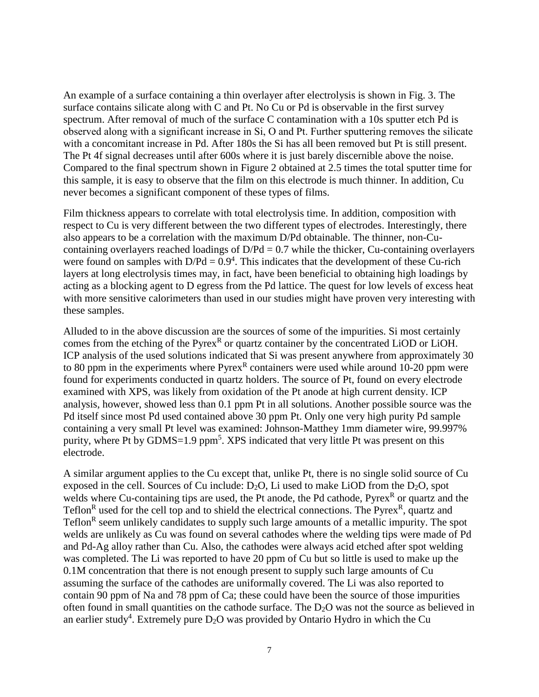An example of a surface containing a thin overlayer after electrolysis is shown in Fig. 3. The surface contains silicate along with C and Pt. No Cu or Pd is observable in the first survey spectrum. After removal of much of the surface C contamination with a 10s sputter etch Pd is observed along with a significant increase in Si, Ο and Pt. Further sputtering removes the silicate with a concomitant increase in Pd. After 180s the Si has all been removed but Pt is still present. The Pt 4f signal decreases until after 600s where it is just barely discernible above the noise. Compared to the final spectrum shown in Figure 2 obtained at 2.5 times the total sputter time for this sample, it is easy to observe that the film on this electrode is much thinner. In addition, Cu never becomes a significant component of these types of films.

Film thickness appears to correlate with total electrolysis time. In addition, composition with respect to Cu is very different between the two different types of electrodes. Interestingly, there also appears to be a correlation with the maximum D/Pd obtainable. The thinner, non-Cucontaining overlayers reached loadings of  $D/Pd = 0.7$  while the thicker, Cu-containing overlayers were found on samples with  $D/Pd = 0.9<sup>4</sup>$ . This indicates that the development of these Cu-rich layers at long electrolysis times may, in fact, have been beneficial to obtaining high loadings by acting as a blocking agent to D egress from the Pd lattice. The quest for low levels of excess heat with more sensitive calorimeters than used in our studies might have proven very interesting with these samples.

Alluded to in the above discussion are the sources of some of the impurities. Si most certainly comes from the etching of the Pyrex<sup>R</sup> or quartz container by the concentrated LiOD or LiOH. ICP analysis of the used solutions indicated that Si was present anywhere from approximately 30 to 80 ppm in the experiments where  $Pyrex^R$  containers were used while around 10-20 ppm were found for experiments conducted in quartz holders. The source of Pt, found on every electrode examined with XPS, was likely from oxidation of the Pt anode at high current density. ICP analysis, however, showed less than 0.1 ppm Pt in all solutions. Another possible source was the Pd itself since most Pd used contained above 30 ppm Pt. Only one very high purity Pd sample containing a very small Pt level was examined: Johnson-Matthey 1mm diameter wire, 99.997% purity, where Pt by GDMS=1.9 ppm<sup>5</sup>. XPS indicated that very little Pt was present on this electrode.

A similar argument applies to the Cu except that, unlike Pt, there is no single solid source of Cu exposed in the cell. Sources of Cu include:  $D_2O$ , Li used to make LiOD from the  $D_2O$ , spot welds where Cu-containing tips are used, the Pt anode, the Pd cathode, Pyrex<sup>R</sup> or quartz and the Teflon<sup>R</sup> used for the cell top and to shield the electrical connections. The Pyrex<sup>R</sup>, quartz and Teflon<sup>R</sup> seem unlikely candidates to supply such large amounts of a metallic impurity. The spot welds are unlikely as Cu was found on several cathodes where the welding tips were made of Pd and Pd-Ag alloy rather than Cu. Also, the cathodes were always acid etched after spot welding was completed. The Li was reported to have 20 ppm of Cu but so little is used to make up the 0.1M concentration that there is not enough present to supply such large amounts of Cu assuming the surface of the cathodes are uniformally covered. The Li was also reported to contain 90 ppm of Na and 78 ppm of Ca; these could have been the source of those impurities often found in small quantities on the cathode surface. The D2O was not the source as believed in an earlier study<sup>4</sup>. Extremely pure  $D_2O$  was provided by Ontario Hydro in which the Cu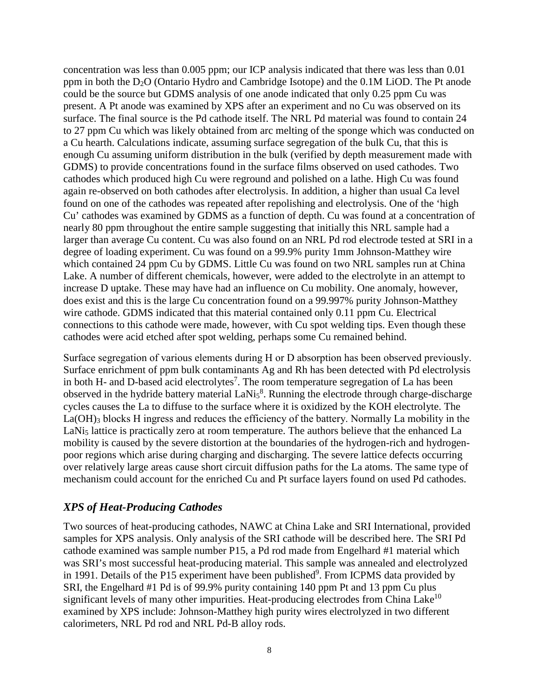concentration was less than 0.005 ppm; our ICP analysis indicated that there was less than 0.01 ppm in both the D2O (Ontario Hydro and Cambridge Isotope) and the 0.1M LiOD. The Pt anode could be the source but GDMS analysis of one anode indicated that only 0.25 ppm Cu was present. A Pt anode was examined by XPS after an experiment and no Cu was observed on its surface. The final source is the Pd cathode itself. The NRL Pd material was found to contain 24 to 27 ppm Cu which was likely obtained from arc melting of the sponge which was conducted on a Cu hearth. Calculations indicate, assuming surface segregation of the bulk Cu, that this is enough Cu assuming uniform distribution in the bulk (verified by depth measurement made with GDMS) to provide concentrations found in the surface films observed on used cathodes. Two cathodes which produced high Cu were reground and polished on a lathe. High Cu was found again re-observed on both cathodes after electrolysis. In addition, a higher than usual Ca level found on one of the cathodes was repeated after repolishing and electrolysis. One of the 'high Cu' cathodes was examined by GDMS as a function of depth. Cu was found at a concentration of nearly 80 ppm throughout the entire sample suggesting that initially this NRL sample had a larger than average Cu content. Cu was also found on an NRL Pd rod electrode tested at SRI in a degree of loading experiment. Cu was found on a 99.9% purity 1mm Johnson-Matthey wire which contained 24 ppm Cu by GDMS. Little Cu was found on two NRL samples run at China Lake. A number of different chemicals, however, were added to the electrolyte in an attempt to increase D uptake. These may have had an influence on Cu mobility. One anomaly, however, does exist and this is the large Cu concentration found on a 99.997% purity Johnson-Matthey wire cathode. GDMS indicated that this material contained only 0.11 ppm Cu. Electrical connections to this cathode were made, however, with Cu spot welding tips. Even though these cathodes were acid etched after spot welding, perhaps some Cu remained behind.

Surface segregation of various elements during Η or D absorption has been observed previously. Surface enrichment of ppm bulk contaminants Ag and Rh has been detected with Pd electrolysis in both H- and D-based acid electrolytes<sup>7</sup>. The room temperature segregation of La has been observed in the hydride battery material  $\text{LaNi}_5^8$ . Running the electrode through charge-discharge cycles causes the La to diffuse to the surface where it is oxidized by the KOH electrolyte. The La(OH)<sub>3</sub> blocks H ingress and reduces the efficiency of the battery. Normally La mobility in the LaNi<sub>5</sub> lattice is practically zero at room temperature. The authors believe that the enhanced La mobility is caused by the severe distortion at the boundaries of the hydrogen-rich and hydrogenpoor regions which arise during charging and discharging. The severe lattice defects occurring over relatively large areas cause short circuit diffusion paths for the La atoms. The same type of mechanism could account for the enriched Cu and Pt surface layers found on used Pd cathodes.

#### *XPS of Heat-Producing Cathodes*

Two sources of heat-producing cathodes, NAWC at China Lake and SRI International, provided samples for XPS analysis. Only analysis of the SRI cathode will be described here. The SRI Pd cathode examined was sample number P15, a Pd rod made from Engelhard #1 material which was SRI's most successful heat-producing material. This sample was annealed and electrolyzed in 1991. Details of the P15 experiment have been published<sup>9</sup>. From ICPMS data provided by SRI, the Engelhard #1 Pd is of 99.9% purity containing 140 ppm Pt and 13 ppm Cu plus significant levels of many other impurities. Heat-producing electrodes from China Lake $10$ examined by XPS include: Johnson-Matthey high purity wires electrolyzed in two different calorimeters, NRL Pd rod and NRL Pd-B alloy rods.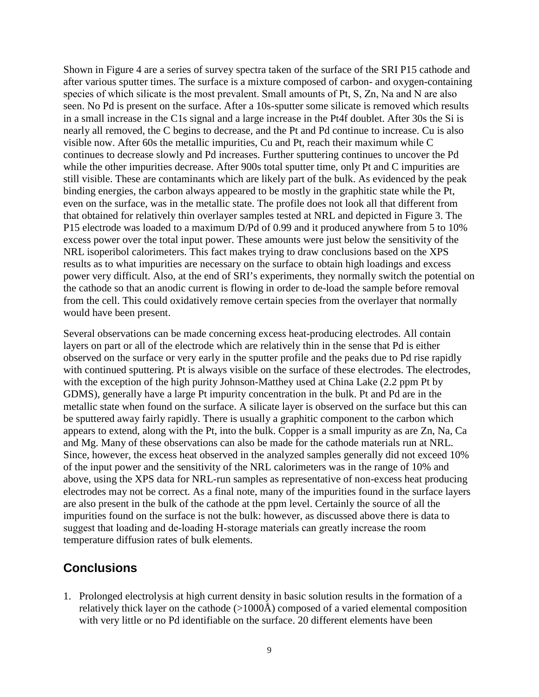Shown in Figure 4 are a series of survey spectra taken of the surface of the SRI P15 cathode and after various sputter times. The surface is a mixture composed of carbon- and oxygen-containing species of which silicate is the most prevalent. Small amounts of Pt, S, Zn, Na and N are also seen. No Pd is present on the surface. After a 10s-sputter some silicate is removed which results in a small increase in the C1s signal and a large increase in the Pt4f doublet. After 30s the Si is nearly all removed, the C begins to decrease, and the Pt and Pd continue to increase. Cu is also visible now. After 60s the metallic impurities, Cu and Pt, reach their maximum while C continues to decrease slowly and Pd increases. Further sputtering continues to uncover the Pd while the other impurities decrease. After 900s total sputter time, only Pt and C impurities are still visible. These are contaminants which are likely part of the bulk. As evidenced by the peak binding energies, the carbon always appeared to be mostly in the graphitic state while the Pt, even on the surface, was in the metallic state. The profile does not look all that different from that obtained for relatively thin overlayer samples tested at NRL and depicted in Figure 3. The P15 electrode was loaded to a maximum D/Pd of 0.99 and it produced anywhere from 5 to 10% excess power over the total input power. These amounts were just below the sensitivity of the NRL isoperibol calorimeters. This fact makes trying to draw conclusions based on the XPS results as to what impurities are necessary on the surface to obtain high loadings and excess power very difficult. Also, at the end of SRI's experiments, they normally switch the potential on the cathode so that an anodic current is flowing in order to de-load the sample before removal from the cell. This could oxidatively remove certain species from the overlayer that normally would have been present.

Several observations can be made concerning excess heat-producing electrodes. All contain layers on part or all of the electrode which are relatively thin in the sense that Pd is either observed on the surface or very early in the sputter profile and the peaks due to Pd rise rapidly with continued sputtering. Pt is always visible on the surface of these electrodes. The electrodes, with the exception of the high purity Johnson-Matthey used at China Lake (2.2 ppm Pt by GDMS), generally have a large Pt impurity concentration in the bulk. Pt and Pd are in the metallic state when found on the surface. A silicate layer is observed on the surface but this can be sputtered away fairly rapidly. There is usually a graphitic component to the carbon which appears to extend, along with the Pt, into the bulk. Copper is a small impurity as are Zn, Na, Ca and Mg. Many of these observations can also be made for the cathode materials run at NRL. Since, however, the excess heat observed in the analyzed samples generally did not exceed 10% of the input power and the sensitivity of the NRL calorimeters was in the range of 10% and above, using the XPS data for NRL-run samples as representative of non-excess heat producing electrodes may not be correct. As a final note, many of the impurities found in the surface layers are also present in the bulk of the cathode at the ppm level. Certainly the source of all the impurities found on the surface is not the bulk: however, as discussed above there is data to suggest that loading and de-loading Η-storage materials can greatly increase the room temperature diffusion rates of bulk elements.

### **Conclusions**

1. Prolonged electrolysis at high current density in basic solution results in the formation of a relatively thick layer on the cathode (>1000Å) composed of a varied elemental composition with very little or no Pd identifiable on the surface. 20 different elements have been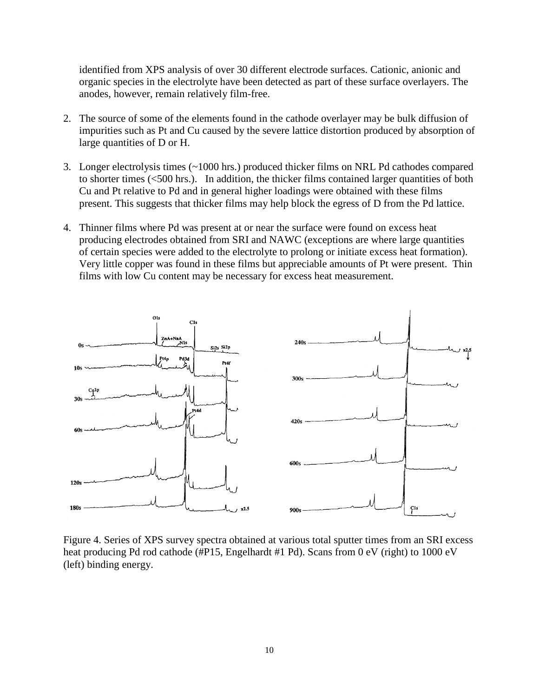identified from XPS analysis of over 30 different electrode surfaces. Cationic, anionic and organic species in the electrolyte have been detected as part of these surface overlayers. The anodes, however, remain relatively film-free.

- 2. The source of some of the elements found in the cathode overlayer may be bulk diffusion of impurities such as Pt and Cu caused by the severe lattice distortion produced by absorption of large quantities of D or H.
- 3. Longer electrolysis times (~1000 hrs.) produced thicker films on NRL Pd cathodes compared to shorter times (<500 hrs.). In addition, the thicker films contained larger quantities of both Cu and Pt relative to Pd and in general higher loadings were obtained with these films present. This suggests that thicker films may help block the egress of D from the Pd lattice.
- 4. Thinner films where Pd was present at or near the surface were found on excess heat producing electrodes obtained from SRI and NAWC (exceptions are where large quantities of certain species were added to the electrolyte to prolong or initiate excess heat formation). Very little copper was found in these films but appreciable amounts of Pt were present. Thin films with low Cu content may be necessary for excess heat measurement.



Figure 4. Series of XPS survey spectra obtained at various total sputter times from an SRI excess heat producing Pd rod cathode (#P15, Engelhardt #1 Pd). Scans from 0 eV (right) to 1000 eV (left) binding energy.